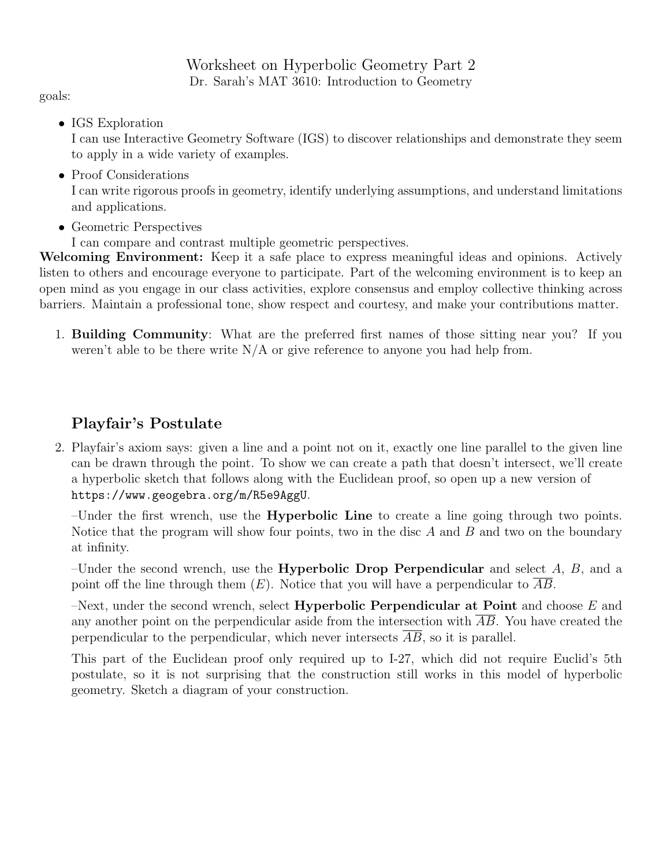Worksheet on Hyperbolic Geometry Part 2 Dr. Sarah's MAT 3610: Introduction to Geometry

goals:

• IGS Exploration

I can use Interactive Geometry Software (IGS) to discover relationships and demonstrate they seem to apply in a wide variety of examples.

• Proof Considerations

I can write rigorous proofs in geometry, identify underlying assumptions, and understand limitations and applications.

- Geometric Perspectives
	- I can compare and contrast multiple geometric perspectives.

Welcoming Environment: Keep it a safe place to express meaningful ideas and opinions. Actively listen to others and encourage everyone to participate. Part of the welcoming environment is to keep an open mind as you engage in our class activities, explore consensus and employ collective thinking across barriers. Maintain a professional tone, show respect and courtesy, and make your contributions matter.

1. Building Community: What are the preferred first names of those sitting near you? If you weren't able to be there write  $N/A$  or give reference to anyone you had help from.

## Playfair's Postulate

2. Playfair's axiom says: given a line and a point not on it, exactly one line parallel to the given line can be drawn through the point. To show we can create a path that doesn't intersect, we'll create a hyperbolic sketch that follows along with the Euclidean proof, so open up a new version of https://www.geogebra.org/m/R5e9AggU.

–Under the first wrench, use the Hyperbolic Line to create a line going through two points. Notice that the program will show four points, two in the disc  $A$  and  $B$  and two on the boundary at infinity.

–Under the second wrench, use the **Hyperbolic Drop Perpendicular** and select  $A, B$ , and a point off the line through them  $(E)$ . Notice that you will have a perpendicular to AB.

–Next, under the second wrench, select **Hyperbolic Perpendicular at Point** and choose  $E$  and any another point on the perpendicular aside from the intersection with AB. You have created the perpendicular to the perpendicular, which never intersects AB, so it is parallel.

This part of the Euclidean proof only required up to I-27, which did not require Euclid's 5th postulate, so it is not surprising that the construction still works in this model of hyperbolic geometry. Sketch a diagram of your construction.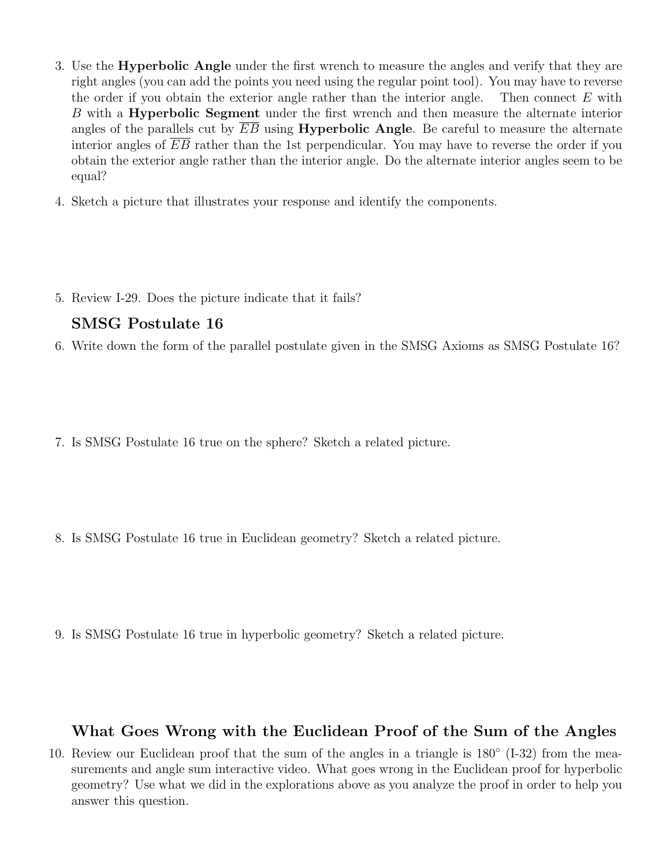- 3. Use the Hyperbolic Angle under the first wrench to measure the angles and verify that they are right angles (you can add the points you need using the regular point tool). You may have to reverse the order if you obtain the exterior angle rather than the interior angle. Then connect  $E$  with B with a Hyperbolic Segment under the first wrench and then measure the alternate interior angles of the parallels cut by  $EB$  using **Hyperbolic Angle**. Be careful to measure the alternate interior angles of EB rather than the 1st perpendicular. You may have to reverse the order if you obtain the exterior angle rather than the interior angle. Do the alternate interior angles seem to be equal?
- 4. Sketch a picture that illustrates your response and identify the components.
- 5. Review I-29. Does the picture indicate that it fails?

## SMSG Postulate 16

- 6. Write down the form of the parallel postulate given in the SMSG Axioms as SMSG Postulate 16?
- 7. Is SMSG Postulate 16 true on the sphere? Sketch a related picture.
- 8. Is SMSG Postulate 16 true in Euclidean geometry? Sketch a related picture.
- 9. Is SMSG Postulate 16 true in hyperbolic geometry? Sketch a related picture.

## What Goes Wrong with the Euclidean Proof of the Sum of the Angles

10. Review our Euclidean proof that the sum of the angles in a triangle is  $180^{\circ}$  (I-32) from the measurements and angle sum interactive video. What goes wrong in the Euclidean proof for hyperbolic geometry? Use what we did in the explorations above as you analyze the proof in order to help you answer this question.